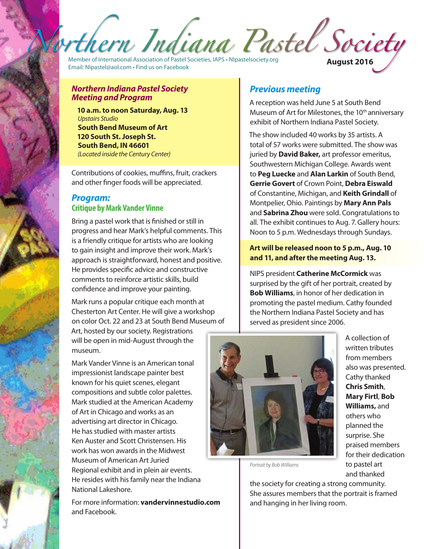Member of International Association of Pastel Societies, IAPS • NIpastelsociety.org Email: NIpastel@aol.com • Find us on Facebook **August 2016**

#### *Northern Indiana Pastel Society Meeting and Program*

**10 a.m. to noon Saturday, Aug. 13** *Upstairs Studio* **South Bend Museum of Art 120 South St. Joseph St. South Bend, IN 46601** *(Located inside the Century Center)* 

Contributions of cookies, muffins, fruit, crackers and other finger foods will be appreciated.

## *Program:*  **Critique by Mark Vander Vinne**

Bring a pastel work that is finished or still in progress and hear Mark's helpful comments. This is a friendly critique for artists who are looking to gain insight and improve their work. Mark's approach is straightforward, honest and positive. He provides specific advice and constructive comments to reinforce artistic skills, build confidence and improve your painting.

Mark runs a popular critique each month at Chesterton Art Center. He will give a workshop on color Oct. 22 and 23 at South Bend Museum of Art, hosted by our society. Registrations will be open in mid-August through the museum.

Mark Vander Vinne is an American tonal impressionist landscape painter best known for his quiet scenes, elegant compositions and subtle color palettes. Mark studied at the American Academy of Art in Chicago and works as an advertising art director in Chicago. He has studied with master artists Ken Auster and Scott Christensen. His work has won awards in the Midwest Museum of American Art Juried Regional exhibit and in plein air events. He resides with his family near the Indiana National Lakeshore.

For more information: **vandervinnestudio.com**  and Facebook.

# *Previous meeting*

A reception was held June 5 at South Bend Museum of Art for Milestones, the 10<sup>th</sup> anniversary exhibit of Northern Indiana Pastel Society.

The show included 40 works by 35 artists. A total of 57 works were submitted. The show was juried by **David Baker,** art professor emeritus, Southwestern Michigan College. Awards went to **Peg Luecke** and **Alan Larkin** of South Bend, **Gerrie Govert** of Crown Point, **Debra Eiswald** of Constantine, Michigan, and **Keith Grindall** of Montpelier, Ohio. Paintings by **Mary Ann Pals**  and **Sabrina Zhou** were sold. Congratulations to all. The exhibit continues to Aug. 7. Gallery hours: Noon to 5 p.m. Wednesdays through Sundays.

### **Art will be released noon to 5 p.m., Aug. 10 and 11, and after the meeting Aug. 13.**

NIPS president **Catherine McCormick** was surprised by the gift of her portrait, created by **Bob Williams**, in honor of her dedication in promoting the pastel medium. Cathy founded the Northern Indiana Pastel Society and has served as president since 2006.



A collection of written tributes from members also was presented. Cathy thanked **Chris Smith**, **Mary Firtl**, **Bob Williams,** and others who planned the surprise. She praised members for their dedication to pastel art and thanked

*Portrait by Bob Williams*

the society for creating a strong community. She assures members that the portrait is framed and hanging in her living room.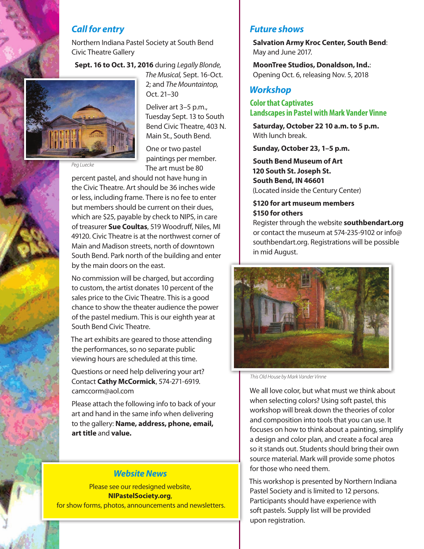## *Call for entry*

Northern Indiana Pastel Society at South Bend Civic Theatre Gallery

**Sept. 16 to Oct. 31, 2016** during *Legally Blonde,* 



*The Musical,* Sept. 16-Oct. 2; and *The Mountaintop,* Oct. 21–30

Deliver art 3–5 p.m., Tuesday Sept. 13 to South Bend Civic Theatre, 403 N. Main St., South Bend.

One or two pastel paintings per member. The art must be 80

*Peg Luecke*

percent pastel, and should not have hung in the Civic Theatre. Art should be 36 inches wide or less, including frame. There is no fee to enter but members should be current on their dues, which are \$25, payable by check to NIPS, in care of treasurer **Sue Coultas**, 519 Woodruff, Niles, MI 49120. Civic Theatre is at the northwest corner of Main and Madison streets, north of downtown South Bend. Park north of the building and enter by the main doors on the east.

No commission will be charged, but according to custom, the artist donates 10 percent of the sales price to the Civic Theatre. This is a good chance to show the theater audience the power of the pastel medium. This is our eighth year at South Bend Civic Theatre.

The art exhibits are geared to those attending the performances, so no separate public viewing hours are scheduled at this time.

Questions or need help delivering your art? Contact **Cathy McCormick**, 574-271-6919. camccorm@aol.com

Please attach the following info to back of your art and hand in the same info when delivering to the gallery: **Name, address, phone, email, art title** and **value.**

## *Website News*

Please see our redesigned website, **NIPastelSociety.org**, for show forms, photos, announcements and newsletters.

## *Future shows*

**Salvation Army Kroc Center, South Bend**: May and June 2017.

**MoonTree Studios, Donaldson, Ind.**: Opening Oct. 6, releasing Nov. 5, 2018

# *Workshop*

#### **Color that Captivates Landscapes in Pastel with Mark Vander Vinne**

**Saturday, October 22 10 a.m. to 5 p.m.**  With lunch break.

**Sunday, October 23, 1–5 p.m.** 

**South Bend Museum of Art 120 South St. Joseph St. South Bend, IN 46601** (Located inside the Century Center)

### **\$120 for art museum members \$150 for others**

Register through the website **southbendart.org** or contact the museum at 574-235-9102 or info@ southbendart.org. Registrations will be possible in mid August.



*This Old House by Mark Vander Vinne*

We all love color, but what must we think about when selecting colors? Using soft pastel, this workshop will break down the theories of color and composition into tools that you can use. It focuses on how to think about a painting, simplify a design and color plan, and create a focal area so it stands out. Students should bring their own source material. Mark will provide some photos for those who need them.

This workshop is presented by Northern Indiana Pastel Society and is limited to 12 persons. Participants should have experience with soft pastels. Supply list will be provided upon registration.